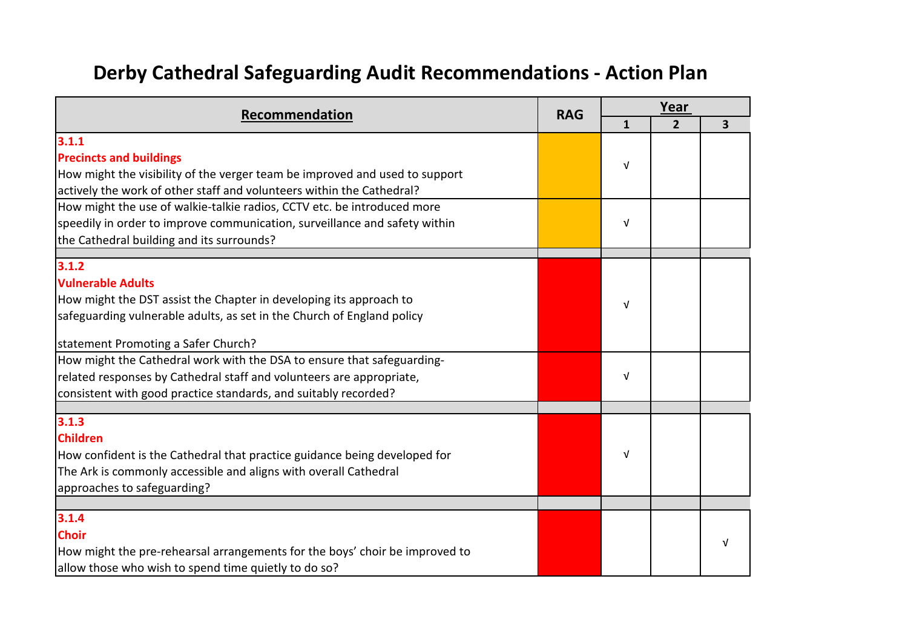## **Derby Cathedral Safeguarding Audit Recommendations - Action Plan**

| Recommendation                                                                                                                                                                                                    | <b>RAG</b> |   | Year           |   |
|-------------------------------------------------------------------------------------------------------------------------------------------------------------------------------------------------------------------|------------|---|----------------|---|
|                                                                                                                                                                                                                   |            | 1 | $\overline{2}$ | 3 |
| 3.1.1<br><b>Precincts and buildings</b><br>How might the visibility of the verger team be improved and used to support<br>actively the work of other staff and volunteers within the Cathedral?                   |            | V |                |   |
| How might the use of walkie-talkie radios, CCTV etc. be introduced more<br>speedily in order to improve communication, surveillance and safety within<br>the Cathedral building and its surrounds?                |            | V |                |   |
| 3.1.2                                                                                                                                                                                                             |            |   |                |   |
| <b>Vulnerable Adults</b><br>How might the DST assist the Chapter in developing its approach to<br>safeguarding vulnerable adults, as set in the Church of England policy                                          |            | v |                |   |
| statement Promoting a Safer Church?                                                                                                                                                                               |            |   |                |   |
| How might the Cathedral work with the DSA to ensure that safeguarding-<br>related responses by Cathedral staff and volunteers are appropriate,<br>consistent with good practice standards, and suitably recorded? |            | V |                |   |
|                                                                                                                                                                                                                   |            |   |                |   |
| 3.1.3<br><b>Children</b><br>How confident is the Cathedral that practice guidance being developed for<br>The Ark is commonly accessible and aligns with overall Cathedral<br>approaches to safeguarding?          |            | v |                |   |
| 3.1.4                                                                                                                                                                                                             |            |   |                |   |
| <b>Choir</b><br>How might the pre-rehearsal arrangements for the boys' choir be improved to<br>allow those who wish to spend time quietly to do so?                                                               |            |   |                |   |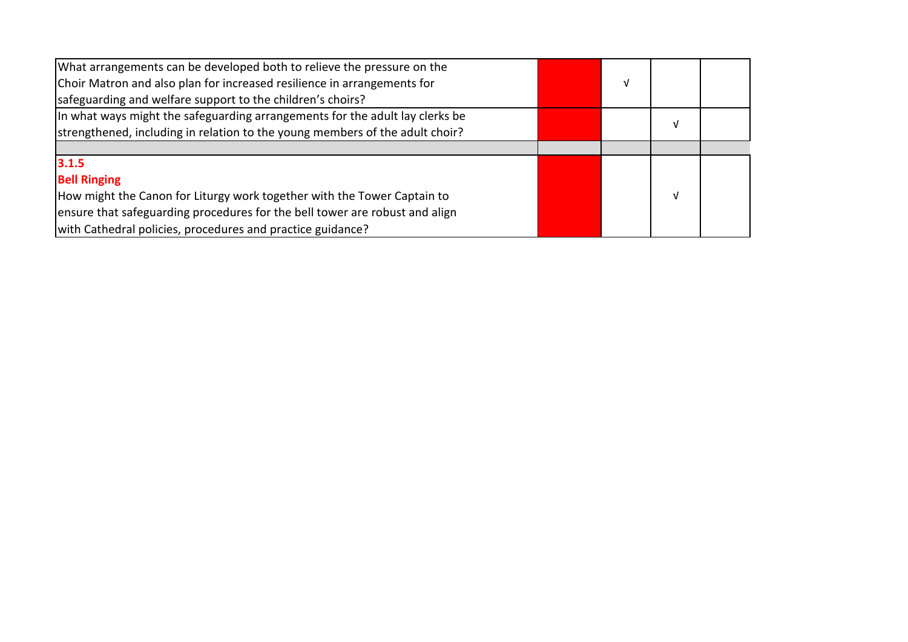| What arrangements can be developed both to relieve the pressure on the       |   |   |  |
|------------------------------------------------------------------------------|---|---|--|
| Choir Matron and also plan for increased resilience in arrangements for      | v |   |  |
| safeguarding and welfare support to the children's choirs?                   |   |   |  |
| In what ways might the safeguarding arrangements for the adult lay clerks be |   | V |  |
| strengthened, including in relation to the young members of the adult choir? |   |   |  |
|                                                                              |   |   |  |
| 3.1.5                                                                        |   |   |  |
| <b>Bell Ringing</b>                                                          |   |   |  |
| How might the Canon for Liturgy work together with the Tower Captain to      |   | V |  |
| ensure that safeguarding procedures for the bell tower are robust and align  |   |   |  |
| with Cathedral policies, procedures and practice guidance?                   |   |   |  |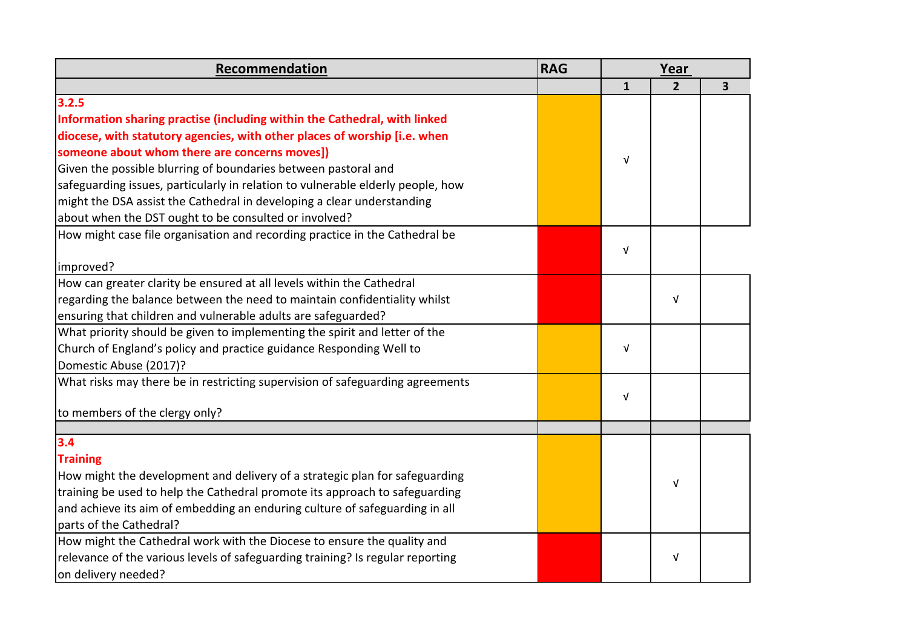| Recommendation                                                                  | <b>RAG</b> |              | Year           |   |
|---------------------------------------------------------------------------------|------------|--------------|----------------|---|
|                                                                                 |            | $\mathbf{1}$ | $\overline{2}$ | 3 |
| 3.2.5                                                                           |            |              |                |   |
| Information sharing practise (including within the Cathedral, with linked       |            |              |                |   |
| diocese, with statutory agencies, with other places of worship [i.e. when       |            |              |                |   |
| someone about whom there are concerns moves])                                   |            | $\sqrt{ }$   |                |   |
| Given the possible blurring of boundaries between pastoral and                  |            |              |                |   |
| safeguarding issues, particularly in relation to vulnerable elderly people, how |            |              |                |   |
| might the DSA assist the Cathedral in developing a clear understanding          |            |              |                |   |
| about when the DST ought to be consulted or involved?                           |            |              |                |   |
| How might case file organisation and recording practice in the Cathedral be     |            |              |                |   |
|                                                                                 |            | V            |                |   |
| improved?                                                                       |            |              |                |   |
| How can greater clarity be ensured at all levels within the Cathedral           |            |              |                |   |
| regarding the balance between the need to maintain confidentiality whilst       |            |              | $\sqrt{ }$     |   |
| ensuring that children and vulnerable adults are safeguarded?                   |            |              |                |   |
| What priority should be given to implementing the spirit and letter of the      |            |              |                |   |
| Church of England's policy and practice guidance Responding Well to             |            | $\sqrt{ }$   |                |   |
| Domestic Abuse (2017)?                                                          |            |              |                |   |
| What risks may there be in restricting supervision of safeguarding agreements   |            |              |                |   |
|                                                                                 |            | V            |                |   |
| to members of the clergy only?                                                  |            |              |                |   |
|                                                                                 |            |              |                |   |
| 3.4                                                                             |            |              |                |   |
| <b>Training</b>                                                                 |            |              |                |   |
| How might the development and delivery of a strategic plan for safeguarding     |            |              | $\sqrt{ }$     |   |
| training be used to help the Cathedral promote its approach to safeguarding     |            |              |                |   |
| and achieve its aim of embedding an enduring culture of safeguarding in all     |            |              |                |   |
| parts of the Cathedral?                                                         |            |              |                |   |
| How might the Cathedral work with the Diocese to ensure the quality and         |            |              |                |   |
| relevance of the various levels of safeguarding training? Is regular reporting  |            |              | $\sqrt{ }$     |   |
| on delivery needed?                                                             |            |              |                |   |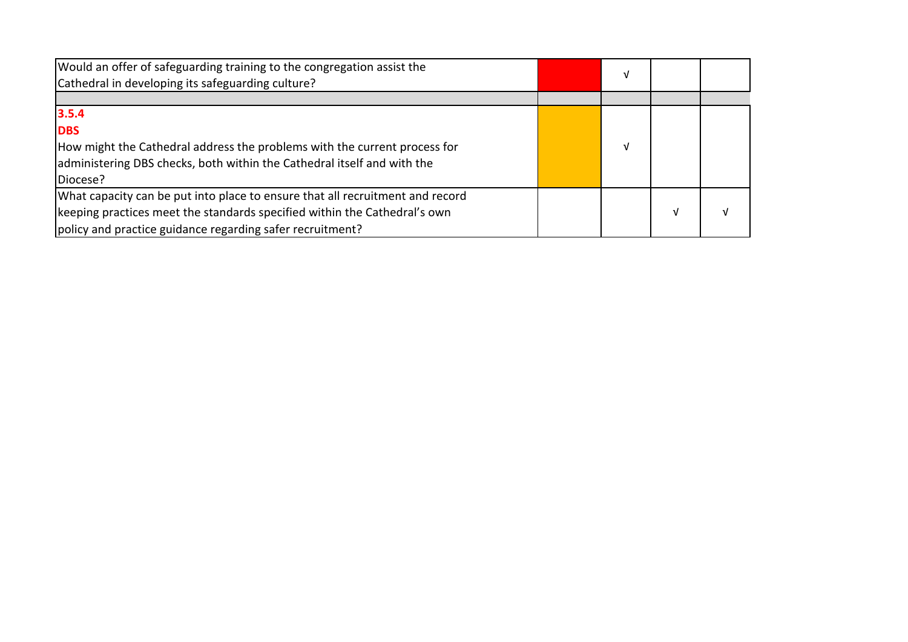| Would an offer of safeguarding training to the congregation assist the<br>Cathedral in developing its safeguarding culture? | v |   |  |
|-----------------------------------------------------------------------------------------------------------------------------|---|---|--|
|                                                                                                                             |   |   |  |
| 3.5.4                                                                                                                       |   |   |  |
| <b>DBS</b>                                                                                                                  |   |   |  |
| How might the Cathedral address the problems with the current process for                                                   |   |   |  |
| administering DBS checks, both within the Cathedral itself and with the                                                     |   |   |  |
| Diocese?                                                                                                                    |   |   |  |
| What capacity can be put into place to ensure that all recruitment and record                                               |   |   |  |
| keeping practices meet the standards specified within the Cathedral's own                                                   |   | v |  |
| policy and practice guidance regarding safer recruitment?                                                                   |   |   |  |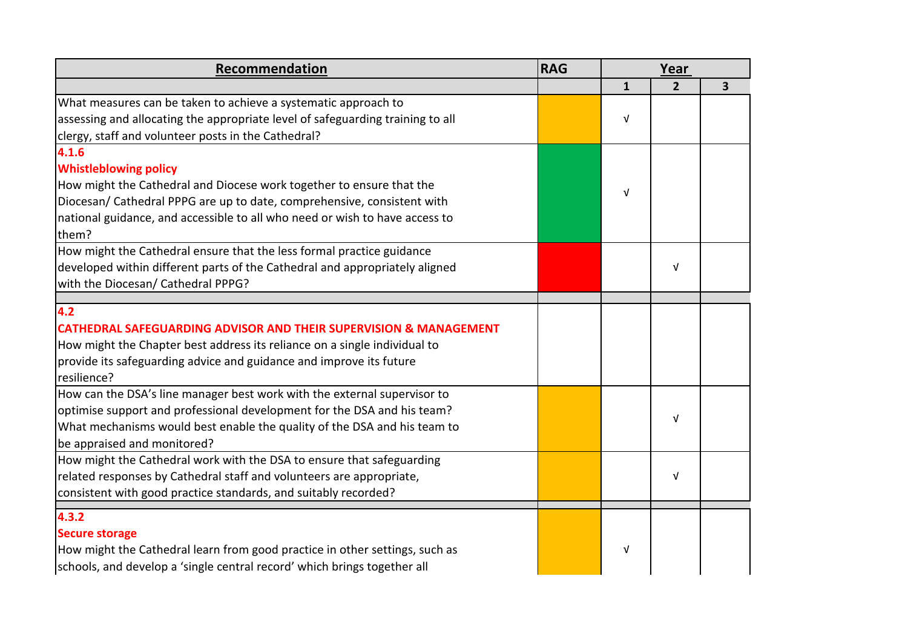| Recommendation                                                                 | <b>RAG</b> |              | Year           |   |
|--------------------------------------------------------------------------------|------------|--------------|----------------|---|
|                                                                                |            | $\mathbf{1}$ | $\overline{2}$ | 3 |
| What measures can be taken to achieve a systematic approach to                 |            |              |                |   |
| assessing and allocating the appropriate level of safeguarding training to all |            | $\sqrt{ }$   |                |   |
| clergy, staff and volunteer posts in the Cathedral?                            |            |              |                |   |
| 4.1.6                                                                          |            |              |                |   |
| <b>Whistleblowing policy</b>                                                   |            |              |                |   |
| How might the Cathedral and Diocese work together to ensure that the           |            | $\sqrt{ }$   |                |   |
| Diocesan/ Cathedral PPPG are up to date, comprehensive, consistent with        |            |              |                |   |
| national guidance, and accessible to all who need or wish to have access to    |            |              |                |   |
| them?                                                                          |            |              |                |   |
| How might the Cathedral ensure that the less formal practice guidance          |            |              |                |   |
| developed within different parts of the Cathedral and appropriately aligned    |            |              | $\sqrt{ }$     |   |
| with the Diocesan/ Cathedral PPPG?                                             |            |              |                |   |
|                                                                                |            |              |                |   |
| 4.2                                                                            |            |              |                |   |
| <b>CATHEDRAL SAFEGUARDING ADVISOR AND THEIR SUPERVISION &amp; MANAGEMENT</b>   |            |              |                |   |
| How might the Chapter best address its reliance on a single individual to      |            |              |                |   |
| provide its safeguarding advice and guidance and improve its future            |            |              |                |   |
| resilience?                                                                    |            |              |                |   |
| How can the DSA's line manager best work with the external supervisor to       |            |              |                |   |
| optimise support and professional development for the DSA and his team?        |            |              | $\sqrt{ }$     |   |
| What mechanisms would best enable the quality of the DSA and his team to       |            |              |                |   |
| be appraised and monitored?                                                    |            |              |                |   |
| How might the Cathedral work with the DSA to ensure that safeguarding          |            |              |                |   |
| related responses by Cathedral staff and volunteers are appropriate,           |            |              | $\sqrt{ }$     |   |
| consistent with good practice standards, and suitably recorded?                |            |              |                |   |
| 4.3.2                                                                          |            |              |                |   |
| <b>Secure storage</b>                                                          |            |              |                |   |
| How might the Cathedral learn from good practice in other settings, such as    |            | V            |                |   |
| schools, and develop a 'single central record' which brings together all       |            |              |                |   |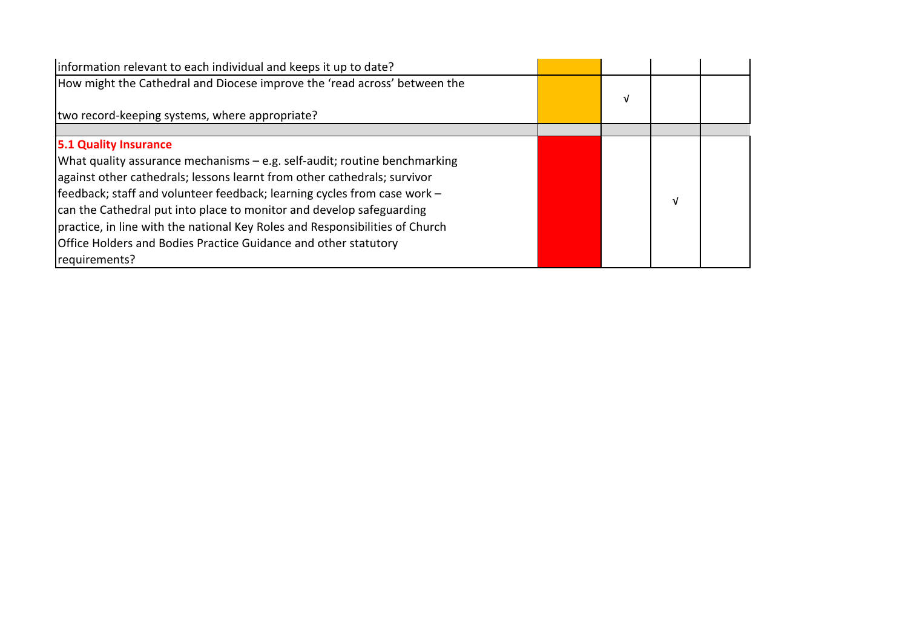| information relevant to each individual and keeps it up to date?                                                                                                                                                                                                                                                                                                                                                                                                                                       |   |   |  |
|--------------------------------------------------------------------------------------------------------------------------------------------------------------------------------------------------------------------------------------------------------------------------------------------------------------------------------------------------------------------------------------------------------------------------------------------------------------------------------------------------------|---|---|--|
| How might the Cathedral and Diocese improve the 'read across' between the                                                                                                                                                                                                                                                                                                                                                                                                                              | ν |   |  |
| two record-keeping systems, where appropriate?                                                                                                                                                                                                                                                                                                                                                                                                                                                         |   |   |  |
| 5.1 Quality Insurance<br>What quality assurance mechanisms – e.g. self-audit; routine benchmarking<br>against other cathedrals; lessons learnt from other cathedrals; survivor<br>feedback; staff and volunteer feedback; learning cycles from case work -<br>can the Cathedral put into place to monitor and develop safeguarding<br>practice, in line with the national Key Roles and Responsibilities of Church<br>Office Holders and Bodies Practice Guidance and other statutory<br>requirements? |   | V |  |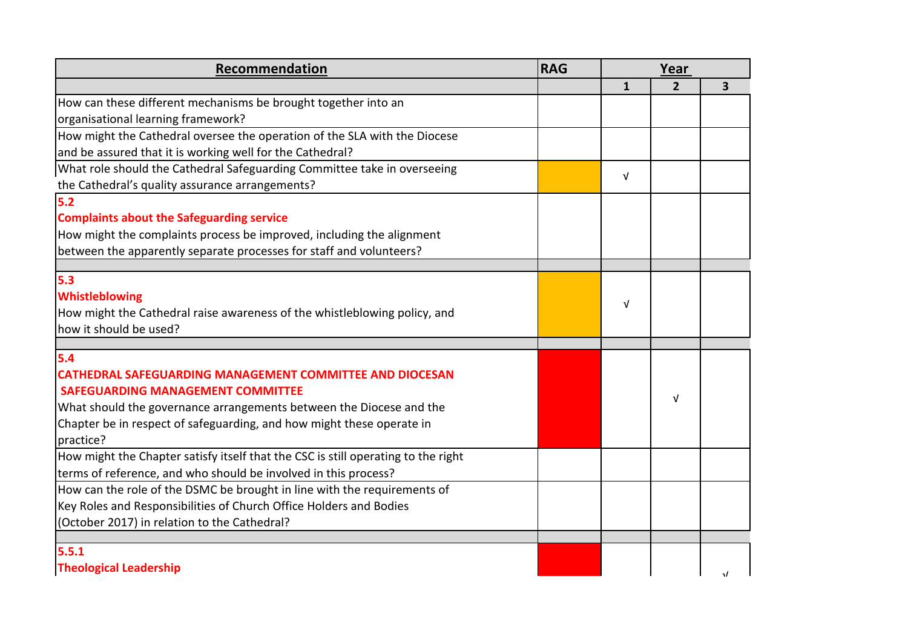| <b>Recommendation</b>                                                             | <b>RAG</b> |              | Year           |   |
|-----------------------------------------------------------------------------------|------------|--------------|----------------|---|
|                                                                                   |            | $\mathbf{1}$ | $\overline{2}$ | 3 |
| How can these different mechanisms be brought together into an                    |            |              |                |   |
| organisational learning framework?                                                |            |              |                |   |
| How might the Cathedral oversee the operation of the SLA with the Diocese         |            |              |                |   |
| and be assured that it is working well for the Cathedral?                         |            |              |                |   |
| What role should the Cathedral Safeguarding Committee take in overseeing          |            | $\sqrt{ }$   |                |   |
| the Cathedral's quality assurance arrangements?                                   |            |              |                |   |
| 5.2                                                                               |            |              |                |   |
| <b>Complaints about the Safeguarding service</b>                                  |            |              |                |   |
| How might the complaints process be improved, including the alignment             |            |              |                |   |
| between the apparently separate processes for staff and volunteers?               |            |              |                |   |
|                                                                                   |            |              |                |   |
| 5.3                                                                               |            |              |                |   |
| <b>Whistleblowing</b>                                                             |            | V            |                |   |
| How might the Cathedral raise awareness of the whistleblowing policy, and         |            |              |                |   |
| how it should be used?                                                            |            |              |                |   |
| 5.4                                                                               |            |              |                |   |
| <b>CATHEDRAL SAFEGUARDING MANAGEMENT COMMITTEE AND DIOCESAN</b>                   |            |              |                |   |
| <b>SAFEGUARDING MANAGEMENT COMMITTEE</b>                                          |            |              |                |   |
| What should the governance arrangements between the Diocese and the               |            |              | v              |   |
| Chapter be in respect of safeguarding, and how might these operate in             |            |              |                |   |
| practice?                                                                         |            |              |                |   |
| How might the Chapter satisfy itself that the CSC is still operating to the right |            |              |                |   |
| terms of reference, and who should be involved in this process?                   |            |              |                |   |
| How can the role of the DSMC be brought in line with the requirements of          |            |              |                |   |
| Key Roles and Responsibilities of Church Office Holders and Bodies                |            |              |                |   |
| (October 2017) in relation to the Cathedral?                                      |            |              |                |   |
|                                                                                   |            |              |                |   |
| 5.5.1                                                                             |            |              |                |   |
| <b>Theological Leadership</b>                                                     |            |              |                | J |